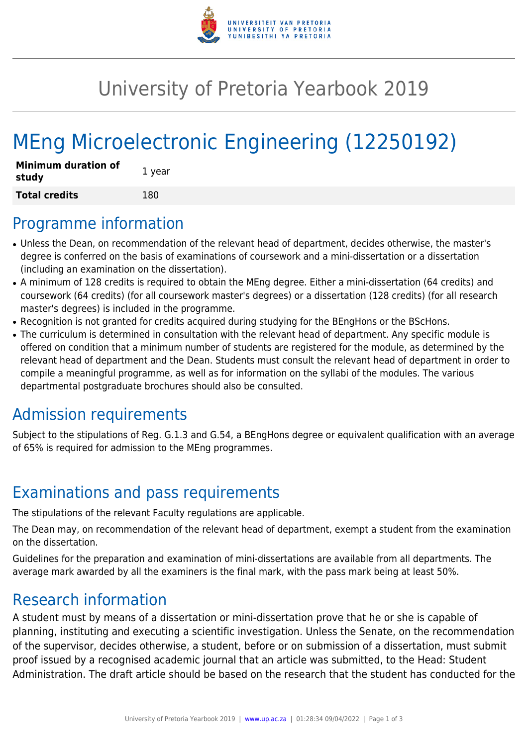

## University of Pretoria Yearbook 2019

# MEng Microelectronic Engineering (12250192)

| <b>Minimum duration of</b><br>study | 1 year |
|-------------------------------------|--------|
| <b>Total credits</b>                | 180    |

#### Programme information

- Unless the Dean, on recommendation of the relevant head of department, decides otherwise, the master's degree is conferred on the basis of examinations of coursework and a mini-dissertation or a dissertation (including an examination on the dissertation).
- A minimum of 128 credits is required to obtain the MEng degree. Either a mini-dissertation (64 credits) and coursework (64 credits) (for all coursework master's degrees) or a dissertation (128 credits) (for all research master's degrees) is included in the programme.
- Recognition is not granted for credits acquired during studying for the BEngHons or the BScHons.
- The curriculum is determined in consultation with the relevant head of department. Any specific module is offered on condition that a minimum number of students are registered for the module, as determined by the relevant head of department and the Dean. Students must consult the relevant head of department in order to compile a meaningful programme, as well as for information on the syllabi of the modules. The various departmental postgraduate brochures should also be consulted.

## Admission requirements

Subject to the stipulations of Reg. G.1.3 and G.54, a BEngHons degree or equivalent qualification with an average of 65% is required for admission to the MEng programmes.

## Examinations and pass requirements

The stipulations of the relevant Faculty regulations are applicable.

The Dean may, on recommendation of the relevant head of department, exempt a student from the examination on the dissertation.

Guidelines for the preparation and examination of mini-dissertations are available from all departments. The average mark awarded by all the examiners is the final mark, with the pass mark being at least 50%.

#### Research information

A student must by means of a dissertation or mini-dissertation prove that he or she is capable of planning, instituting and executing a scientific investigation. Unless the Senate, on the recommendation of the supervisor, decides otherwise, a student, before or on submission of a dissertation, must submit proof issued by a recognised academic journal that an article was submitted, to the Head: Student Administration. The draft article should be based on the research that the student has conducted for the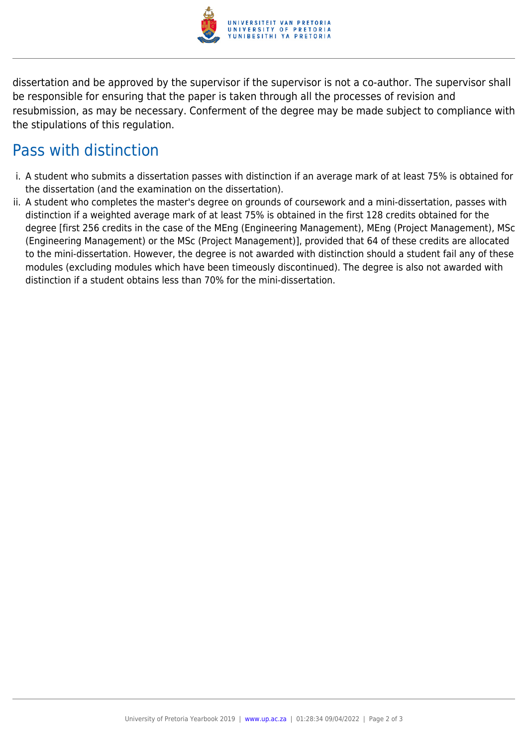

dissertation and be approved by the supervisor if the supervisor is not a co-author. The supervisor shall be responsible for ensuring that the paper is taken through all the processes of revision and resubmission, as may be necessary. Conferment of the degree may be made subject to compliance with the stipulations of this regulation.

#### Pass with distinction

- i. A student who submits a dissertation passes with distinction if an average mark of at least 75% is obtained for the dissertation (and the examination on the dissertation).
- ii. A student who completes the master's degree on grounds of coursework and a mini-dissertation, passes with distinction if a weighted average mark of at least 75% is obtained in the first 128 credits obtained for the degree [first 256 credits in the case of the MEng (Engineering Management), MEng (Project Management), MSc (Engineering Management) or the MSc (Project Management)], provided that 64 of these credits are allocated to the mini-dissertation. However, the degree is not awarded with distinction should a student fail any of these modules (excluding modules which have been timeously discontinued). The degree is also not awarded with distinction if a student obtains less than 70% for the mini-dissertation.